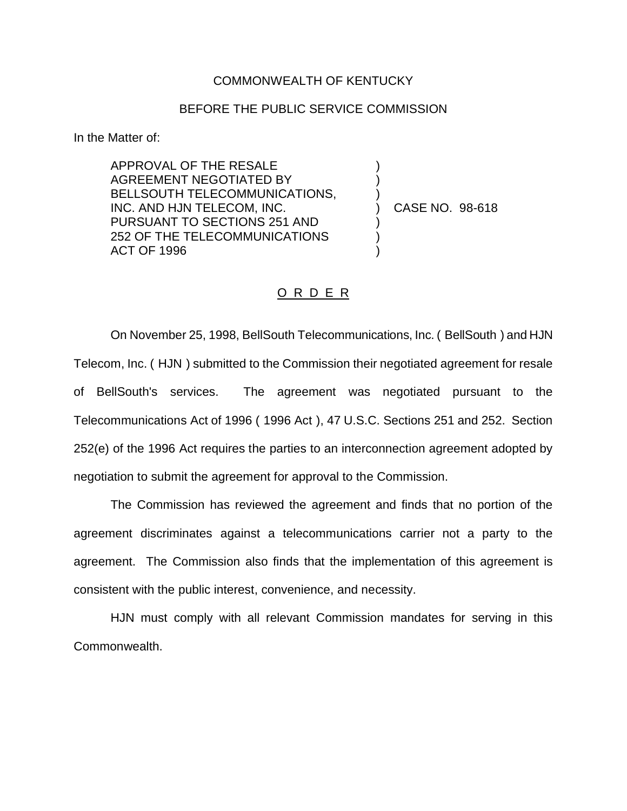## COMMONWEALTH OF KENTUCKY

## BEFORE THE PUBLIC SERVICE COMMISSION

) ) )

) ) )

In the Matter of:

APPROVAL OF THE RESALE AGREEMENT NEGOTIATED BY BELLSOUTH TELECOMMUNICATIONS, INC. AND HJN TELECOM, INC. PURSUANT TO SECTIONS 251 AND 252 OF THE TELECOMMUNICATIONS ACT OF 1996

) CASE NO. 98-618

## O R D E R

On November 25, 1998, BellSouth Telecommunications, Inc. ( BellSouth ) and HJN Telecom, Inc. ( HJN ) submitted to the Commission their negotiated agreement for resale of BellSouth's services. The agreement was negotiated pursuant to the Telecommunications Act of 1996 ( 1996 Act ), 47 U.S.C. Sections 251 and 252. Section 252(e) of the 1996 Act requires the parties to an interconnection agreement adopted by negotiation to submit the agreement for approval to the Commission.

The Commission has reviewed the agreement and finds that no portion of the agreement discriminates against a telecommunications carrier not a party to the agreement. The Commission also finds that the implementation of this agreement is consistent with the public interest, convenience, and necessity.

HJN must comply with all relevant Commission mandates for serving in this Commonwealth.